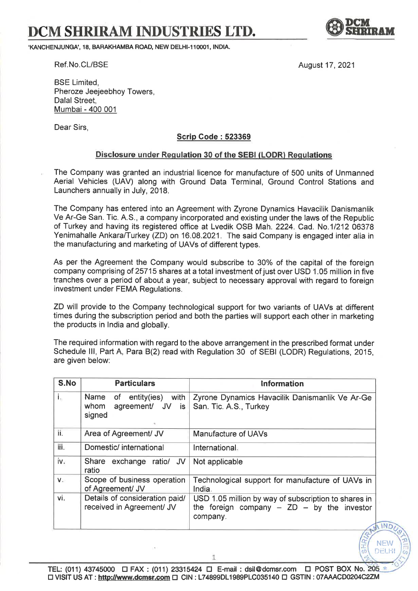## DCM SHRIRAM INDUSTRIES LTD.

'KANCHENJUNGA', 18, BARAKHAMBA ROAD, NEW DELHI-110001, INDIA.

**& SHRIRAM** 

NEW DELF

**INF** 

Ref.No.CL/BSE August 17, 2021

BSE Limited, Pheroze Jeejeebhoy Towers, Dalal Street, Mumbai- 400 001

Dear Sirs,

## Scrip Code : <sup>523369</sup>

## Disclosure under Requlation 30 of the SEBI (LODR) Requlations

The Company was granted an industrial licence for manufacture of 500 units of Unmanned Aerial Vehicles (UAV) along with Ground Data Terminal, Ground Control Stations and Launchers annually in July, 2018.

The Company has entered into an Agreement with Zyrone Dynamics Havacilik Danismanlik Ve Ar-Ge San. Tic. A.S., a company incorporated and existing under the laws of the Republic of Turkey and having its registered office at Lvedik OSB Mah. 2224. Cad. No.11212 <sup>06378</sup> Yenimahalle Ankara/Turkey (ZD) on 16.08.2021. The said Company is engaged inter alia in the manufacturing and marketing of UAVs of different types.

As per the Agreement the Company would subscribe to 30% of the capital of the foreign company comprising of 25715 shares at a total investment of just over USD 1.05 million in five tranches over a period of about a year, subject to necessary approval with regard to foreign investment under FEMA Regulations.

ZD will provide to the Company technological support for two variants of UAVs at different times during the subscription period and both the parties will support each other in marketing the products in lndia and globally.

The required information with regard to the above arrangement in the prescribed format under Schedule lll, Part A, Para B(2) read with Regulation 30 of SEBI (LODR) Regulations, 2015, are given below:

| S.No | <b>Particulars</b>                                          | Information                                                                                                        |
|------|-------------------------------------------------------------|--------------------------------------------------------------------------------------------------------------------|
| i.,  | entity(ies) with<br>Name<br>of<br>whom<br>signed            | Zyrone Dynamics Havacilik Danismanlik Ve Ar-Ge<br>agreement/ JV is   San. Tic. A.S., Turkey                        |
| ii.  | Area of Agreement/ JV                                       | Manufacture of UAVs                                                                                                |
| iii. | Domestic/ international                                     | International.                                                                                                     |
| iv.  | Share exchange ratio/ JV<br>ratio                           | Not applicable                                                                                                     |
| V.   | Scope of business operation<br>of Agreement/ JV             | Technological support for manufacture of UAVs in<br>India.                                                         |
| vi.  | Details of consideration paid/<br>received in Agreement/ JV | USD 1.05 million by way of subscription to shares in<br>the foreign company $-$ ZD $-$ by the investor<br>company. |